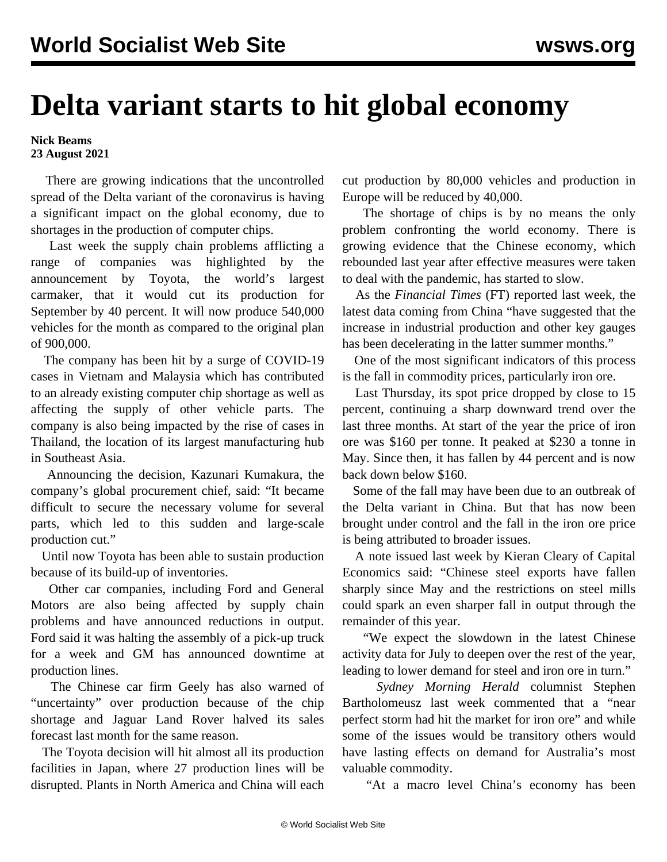## **Delta variant starts to hit global economy**

**Nick Beams 23 August 2021**

 There are growing indications that the uncontrolled spread of the Delta variant of the coronavirus is having a significant impact on the global economy, due to shortages in the production of computer chips.

 Last week the supply chain problems afflicting a range of companies was highlighted by the announcement by Toyota, the world's largest carmaker, that it would cut its production for September by 40 percent. It will now produce 540,000 vehicles for the month as compared to the original plan of 900,000.

 The company has been hit by a surge of COVID-19 cases in Vietnam and Malaysia which has contributed to an already existing computer chip shortage as well as affecting the supply of other vehicle parts. The company is also being impacted by the rise of cases in Thailand, the location of its largest manufacturing hub in Southeast Asia.

 Announcing the decision, Kazunari Kumakura, the company's global procurement chief, said: "It became difficult to secure the necessary volume for several parts, which led to this sudden and large-scale production cut."

 Until now Toyota has been able to sustain production because of its build-up of inventories.

 Other car companies, including Ford and General Motors are also being affected by supply chain problems and have announced reductions in output. Ford said it was halting the assembly of a pick-up truck for a week and GM has announced downtime at production lines.

 The Chinese car firm Geely has also warned of "uncertainty" over production because of the chip shortage and Jaguar Land Rover halved its sales forecast last month for the same reason.

 The Toyota decision will hit almost all its production facilities in Japan, where 27 production lines will be disrupted. Plants in North America and China will each cut production by 80,000 vehicles and production in Europe will be reduced by 40,000.

 The shortage of chips is by no means the only problem confronting the world economy. There is growing evidence that the Chinese economy, which rebounded last year after effective measures were taken to deal with the pandemic, has started to slow.

 As the *Financial Times* (FT) reported last week, the latest data coming from China "have suggested that the increase in industrial production and other key gauges has been decelerating in the latter summer months."

 One of the most significant indicators of this process is the fall in commodity prices, particularly iron ore.

 Last Thursday, its spot price dropped by close to 15 percent, continuing a sharp downward trend over the last three months. At start of the year the price of iron ore was \$160 per tonne. It peaked at \$230 a tonne in May. Since then, it has fallen by 44 percent and is now back down below \$160.

 Some of the fall may have been due to an outbreak of the Delta variant in China. But that has now been brought under control and the fall in the iron ore price is being attributed to broader issues.

 A note issued last week by Kieran Cleary of Capital Economics said: "Chinese steel exports have fallen sharply since May and the restrictions on steel mills could spark an even sharper fall in output through the remainder of this year.

 "We expect the slowdown in the latest Chinese activity data for July to deepen over the rest of the year, leading to lower demand for steel and iron ore in turn."

 *Sydney Morning Herald* columnist Stephen Bartholomeusz last week commented that a "near perfect storm had hit the market for iron ore" and while some of the issues would be transitory others would have lasting effects on demand for Australia's most valuable commodity.

"At a macro level China's economy has been